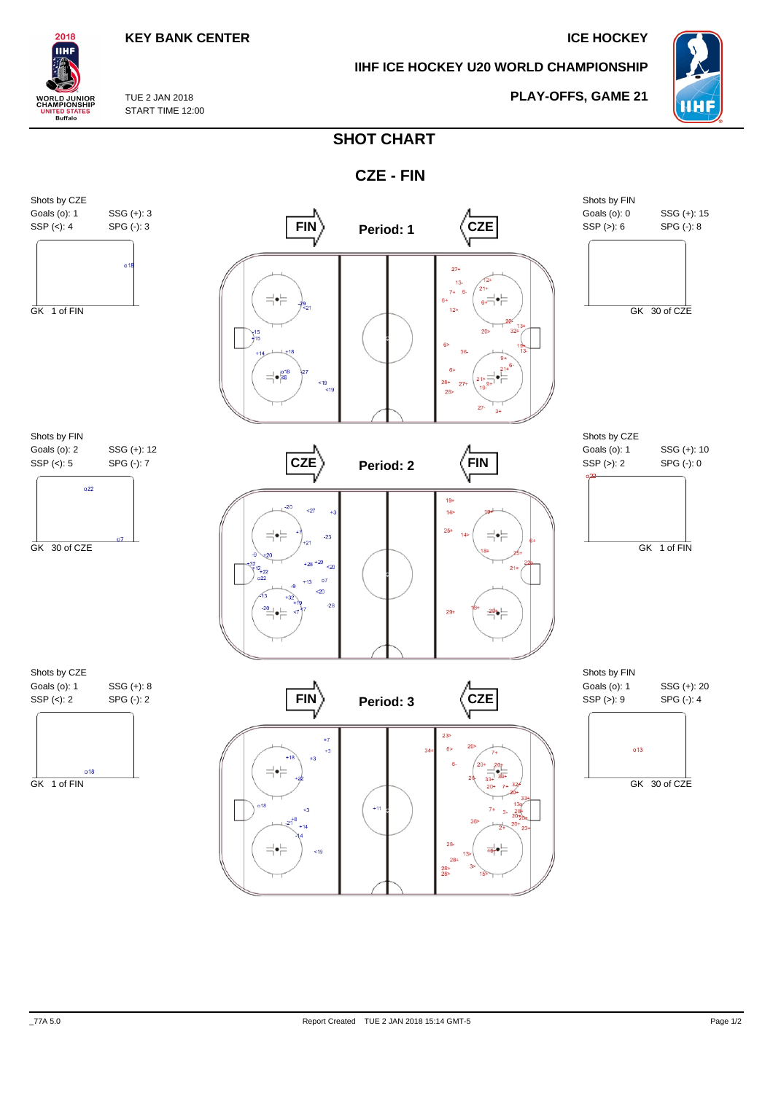## **KEY BANK CENTER ICE HOCKEY**

**PLAY-OFFS, GAME 21**

**IIHF ICE HOCKEY U20 WORLD CHAMPIONSHIP**



TUE 2 JAN 2018 **WORLD JUNIOR**<br>CHAMPIONSHIP START TIME 12:00 **ITED STATES**<br>Buffalo

2018 IІHI

## **SHOT CHART**